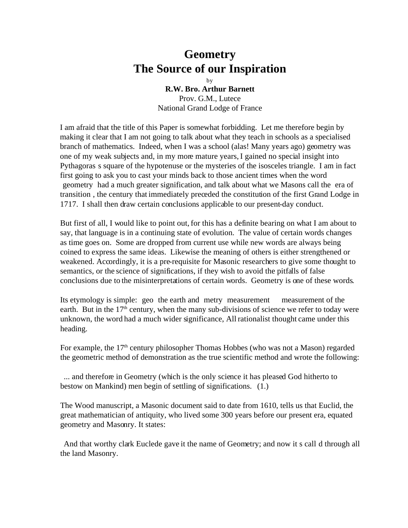## **Geometry The Source of our Inspiration**

by **R.W. Bro. Arthur Barnett** Prov. G.M., Lutece National Grand Lodge of France

I am afraid that the title of this Paper is somewhat forbidding. Let me therefore begin by making it clear that I am not going to talk about what they teach in schools as a specialised branch of mathematics. Indeed, when I was a school (alas! Many years ago) geometry was one of my weak subjects and, in my more mature years, I gained no special insight into Pythagoras s square of the hypotenuse or the mysteries of the isosceles triangle. I am in fact first going to ask you to cast your minds back to those ancient times when the word geometry had a much greater signification, and talk about what we Masons call the era of transition , the century that immediately preceded the constitution of the first Grand Lodge in 1717. I shall then draw certain conclusions applicable to our present-day conduct.

But first of all, I would like to point out, for this has a definite bearing on what I am about to say, that language is in a continuing state of evolution. The value of certain words changes as time goes on. Some are dropped from current use while new words are always being coined to express the same ideas. Likewise the meaning of others is either strengthened or weakened. Accordingly, it is a pre-requisite for Masonic researchers to give some thought to semantics, or the science of significations, if they wish to avoid the pitfalls of false conclusions due to the misinterpretations of certain words. Geometry is one of these words.

Its etymology is simple: geo the earth and metry measurement measurement of the earth. But in the  $17<sup>th</sup>$  century, when the many sub-divisions of science we refer to today were unknown, the word had a much wider significance, All rationalist thought came under this heading.

For example, the  $17<sup>th</sup>$  century philosopher Thomas Hobbes (who was not a Mason) regarded the geometric method of demonstration as the true scientific method and wrote the following:

 ... and therefore in Geometry (which is the only science it has pleased God hitherto to bestow on Mankind) men begin of settling of significations. (1.)

The Wood manuscript, a Masonic document said to date from 1610, tells us that Euclid, the great mathematician of antiquity, who lived some 300 years before our present era, equated geometry and Masonry. It states:

 And that worthy clark Euclede gave it the name of Geometry; and now it s call d through all the land Masonry.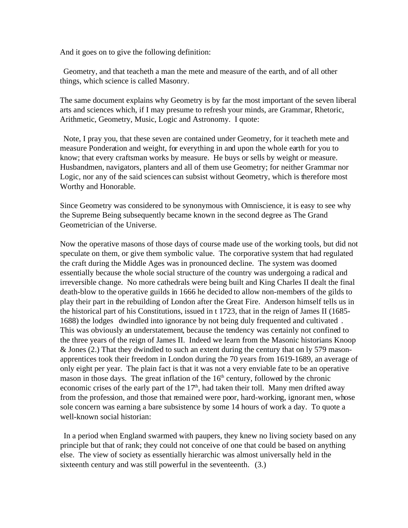And it goes on to give the following definition:

 Geometry, and that teacheth a man the mete and measure of the earth, and of all other things, which science is called Masonry.

The same document explains why Geometry is by far the most important of the seven liberal arts and sciences which, if I may presume to refresh your minds, are Grammar, Rhetoric, Arithmetic, Geometry, Music, Logic and Astronomy. I quote:

 Note, I pray you, that these seven are contained under Geometry, for it teacheth mete and measure Ponderation and weight, for everything in and upon the whole earth for you to know; that every craftsman works by measure. He buys or sells by weight or measure. Husbandmen, navigators, planters and all of them use Geometry; for neither Grammar nor Logic, nor any of the said sciences can subsist without Geometry, which is therefore most Worthy and Honorable.

Since Geometry was considered to be synonymous with Omniscience, it is easy to see why the Supreme Being subsequently became known in the second degree as The Grand Geometrician of the Universe.

Now the operative masons of those days of course made use of the working tools, but did not speculate on them, or give them symbolic value. The corporative system that had regulated the craft during the Middle Ages was in pronounced decline. The system was doomed essentially because the whole social structure of the country was undergoing a radical and irreversible change. No more cathedrals were being built and King Charles II dealt the final death-blow to the operative guilds in 1666 he decided to allow non-members of the gilds to play their part in the rebuilding of London after the Great Fire. Anderson himself tells us in the historical part of his Constitutions, issued in t 1723, that in the reign of James II (1685- 1688) the lodges dwindled into ignorance by not being duly frequented and cultivated . This was obviously an understatement, because the tendency was certainly not confined to the three years of the reign of James II. Indeed we learn from the Masonic historians Knoop & Jones (2.) That they dwindled to such an extent during the century that on ly 579 masonapprentices took their freedom in London during the 70 years from 1619-1689, an average of only eight per year. The plain fact is that it was not a very enviable fate to be an operative mason in those days. The great inflation of the  $16<sup>th</sup>$  century, followed by the chronic economic crises of the early part of the  $17<sup>th</sup>$ , had taken their toll. Many men drifted away from the profession, and those that remained were poor, hard-working, ignorant men, whose sole concern was earning a bare subsistence by some 14 hours of work a day. To quote a well-known social historian:

 In a period when England swarmed with paupers, they knew no living society based on any principle but that of rank; they could not conceive of one that could be based on anything else. The view of society as essentially hierarchic was almost universally held in the sixteenth century and was still powerful in the seventeenth. (3.)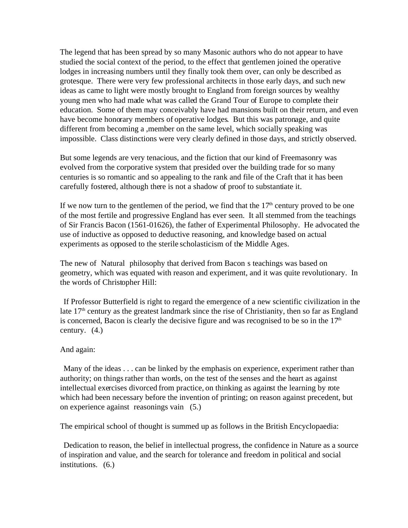The legend that has been spread by so many Masonic authors who do not appear to have studied the social context of the period, to the effect that gentlemen joined the operative lodges in increasing numbers until they finally took them over, can only be described as grotesque. There were very few professional architects in those early days, and such new ideas as came to light were mostly brought to England from foreign sources by wealthy young men who had made what was called the Grand Tour of Europe to complete their education. Some of them may conceivably have had mansions built on their return, and even have become honorary members of operative lodges. But this was patronage, and quite different from becoming a ,member on the same level, which socially speaking was impossible. Class distinctions were very clearly defined in those days, and strictly observed.

But some legends are very tenacious, and the fiction that our kind of Freemasonry was evolved from the corporative system that presided over the building trade for so many centuries is so romantic and so appealing to the rank and file of the Craft that it has been carefully fostered, although there is not a shadow of proof to substantiate it.

If we now turn to the gentlemen of the period, we find that the  $17<sup>th</sup>$  century proved to be one of the most fertile and progressive England has ever seen. It all stemmed from the teachings of Sir Francis Bacon (1561-01626), the father of Experimental Philosophy. He advocated the use of inductive as opposed to deductive reasoning, and knowledge based on actual experiments as opposed to the sterile scholasticism of the Middle Ages.

The new of Natural philosophy that derived from Bacon s teachings was based on geometry, which was equated with reason and experiment, and it was quite revolutionary. In the words of Christopher Hill:

 If Professor Butterfield is right to regard the emergence of a new scientific civilization in the late  $17<sup>th</sup>$  century as the greatest landmark since the rise of Christianity, then so far as England is concerned, Bacon is clearly the decisive figure and was recognised to be so in the  $17<sup>th</sup>$ century. (4.)

## And again:

 Many of the ideas . . . can be linked by the emphasis on experience, experiment rather than authority; on things rather than words, on the test of the senses and the heart as against intellectual exercises divorced from practice, on thinking as against the learning by rote which had been necessary before the invention of printing; on reason against precedent, but on experience against reasonings vain (5.)

The empirical school of thought is summed up as follows in the British Encyclopaedia:

 Dedication to reason, the belief in intellectual progress, the confidence in Nature as a source of inspiration and value, and the search for tolerance and freedom in political and social institutions. (6.)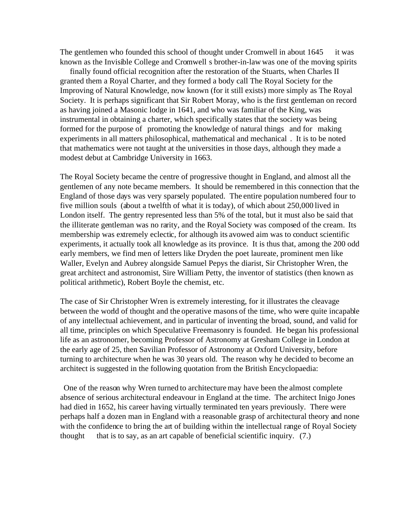The gentlemen who founded this school of thought under Cromwell in about 1645 it was known as the Invisible College and Cromwell s brother-in-law was one of the moving spirits

 finally found official recognition after the restoration of the Stuarts, when Charles II granted them a Royal Charter, and they formed a body call The Royal Society for the Improving of Natural Knowledge, now known (for it still exists) more simply as The Royal Society. It is perhaps significant that Sir Robert Moray, who is the first gentleman on record as having joined a Masonic lodge in 1641, and who was familiar of the King, was instrumental in obtaining a charter, which specifically states that the society was being formed for the purpose of promoting the knowledge of natural things and for making experiments in all matters philosophical, mathematical and mechanical . It is to be noted that mathematics were not taught at the universities in those days, although they made a modest debut at Cambridge University in 1663.

The Royal Society became the centre of progressive thought in England, and almost all the gentlemen of any note became members. It should be remembered in this connection that the England of those days was very sparsely populated. The entire population numbered four to five million souls (about a twelfth of what it is today), of which about 250,000 lived in London itself. The gentry represented less than 5% of the total, but it must also be said that the illiterate gentleman was no rarity, and the Royal Society was composed of the cream. Its membership was extremely eclectic, for although its avowed aim was to conduct scientific experiments, it actually took all knowledge as its province. It is thus that, among the 200 odd early members, we find men of letters like Dryden the poet laureate, prominent men like Waller, Evelyn and Aubrey alongside Samuel Pepys the diarist, Sir Christopher Wren, the great architect and astronomist, Sire William Petty, the inventor of statistics (then known as political arithmetic), Robert Boyle the chemist, etc.

The case of Sir Christopher Wren is extremely interesting, for it illustrates the cleavage between the world of thought and the operative masons of the time, who were quite incapable of any intellectual achievement, and in particular of inventing the broad, sound, and valid for all time, principles on which Speculative Freemasonry is founded. He began his professional life as an astronomer, becoming Professor of Astronomy at Gresham College in London at the early age of 25, then Savilian Professor of Astronomy at Oxford University, before turning to architecture when he was 30 years old. The reason why he decided to become an architect is suggested in the following quotation from the British Encyclopaedia:

 One of the reason why Wren turned to architecture may have been the almost complete absence of serious architectural endeavour in England at the time. The architect Inigo Jones had died in 1652, his career having virtually terminated ten years previously. There were perhaps half a dozen man in England with a reasonable grasp of architectural theory and none with the confidence to bring the art of building within the intellectual range of Royal Society thought that is to say, as an art capable of beneficial scientific inquiry. (7.)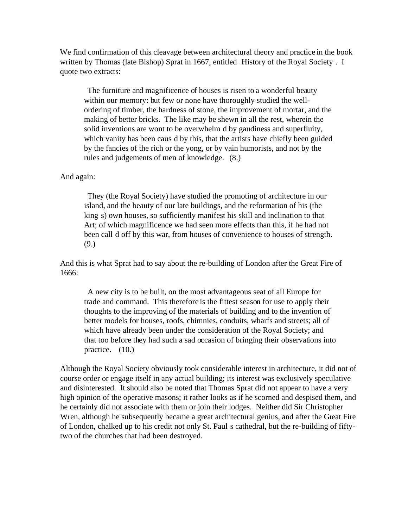We find confirmation of this cleavage between architectural theory and practice in the book written by Thomas (late Bishop) Sprat in 1667, entitled History of the Royal Society . I quote two extracts:

 The furniture and magnificence of houses is risen to a wonderful beauty within our memory: but few or none have thoroughly studied the wellordering of timber, the hardness of stone, the improvement of mortar, and the making of better bricks. The like may be shewn in all the rest, wherein the solid inventions are wont to be overwhelm d by gaudiness and superfluity, which vanity has been caus d by this, that the artists have chiefly been guided by the fancies of the rich or the yong, or by vain humorists, and not by the rules and judgements of men of knowledge. (8.)

## And again:

 They (the Royal Society) have studied the promoting of architecture in our island, and the beauty of our late buildings, and the reformation of his (the king s) own houses, so sufficiently manifest his skill and inclination to that Art; of which magnificence we had seen more effects than this, if he had not been call d off by this war, from houses of convenience to houses of strength. (9.)

And this is what Sprat had to say about the re-building of London after the Great Fire of 1666:

 A new city is to be built, on the most advantageous seat of all Europe for trade and command. This therefore is the fittest season for use to apply their thoughts to the improving of the materials of building and to the invention of better models for houses, roofs, chimnies, conduits, wharfs and streets; all of which have already been under the consideration of the Royal Society; and that too before they had such a sad occasion of bringing their observations into practice.  $(10.)$ 

Although the Royal Society obviously took considerable interest in architecture, it did not of course order or engage itself in any actual building; its interest was exclusively speculative and disinterested. It should also be noted that Thomas Sprat did not appear to have a very high opinion of the operative masons; it rather looks as if he scorned and despised them, and he certainly did not associate with them or join their lodges. Neither did Sir Christopher Wren, although he subsequently became a great architectural genius, and after the Great Fire of London, chalked up to his credit not only St. Paul s cathedral, but the re-building of fiftytwo of the churches that had been destroyed.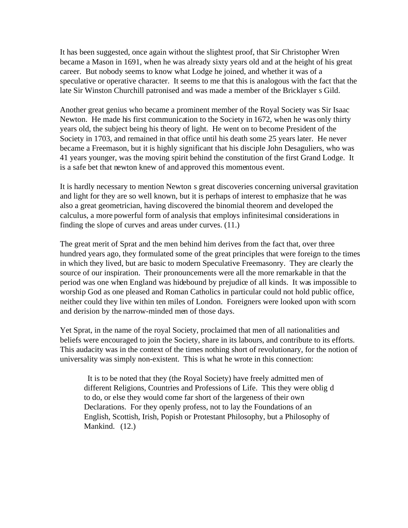It has been suggested, once again without the slightest proof, that Sir Christopher Wren became a Mason in 1691, when he was already sixty years old and at the height of his great career. But nobody seems to know what Lodge he joined, and whether it was of a speculative or operative character. It seems to me that this is analogous with the fact that the late Sir Winston Churchill patronised and was made a member of the Bricklayer s Gild.

Another great genius who became a prominent member of the Royal Society was Sir Isaac Newton. He made his first communication to the Society in 1672, when he was only thirty years old, the subject being his theory of light. He went on to become President of the Society in 1703, and remained in that office until his death some 25 years later. He never became a Freemason, but it is highly significant that his disciple John Desaguliers, who was 41 years younger, was the moving spirit behind the constitution of the first Grand Lodge. It is a safe bet that newton knew of and approved this momentous event.

It is hardly necessary to mention Newton s great discoveries concerning universal gravitation and light for they are so well known, but it is perhaps of interest to emphasize that he was also a great geometrician, having discovered the binomial theorem and developed the calculus, a more powerful form of analysis that employs infinitesimal considerations in finding the slope of curves and areas under curves. (11.)

The great merit of Sprat and the men behind him derives from the fact that, over three hundred years ago, they formulated some of the great principles that were foreign to the times in which they lived, but are basic to modern Speculative Freemasonry. They are clearly the source of our inspiration. Their pronouncements were all the more remarkable in that the period was one when England was hidebound by prejudice of all kinds. It was impossible to worship God as one pleased and Roman Catholics in particular could not hold public office, neither could they live within ten miles of London. Foreigners were looked upon with scorn and derision by the narrow-minded men of those days.

Yet Sprat, in the name of the royal Society, proclaimed that men of all nationalities and beliefs were encouraged to join the Society, share in its labours, and contribute to its efforts. This audacity was in the context of the times nothing short of revolutionary, for the notion of universality was simply non-existent. This is what he wrote in this connection:

 It is to be noted that they (the Royal Society) have freely admitted men of different Religions, Countries and Professions of Life. This they were oblig d to do, or else they would come far short of the largeness of their own Declarations. For they openly profess, not to lay the Foundations of an English, Scottish, Irish, Popish or Protestant Philosophy, but a Philosophy of Mankind. (12.)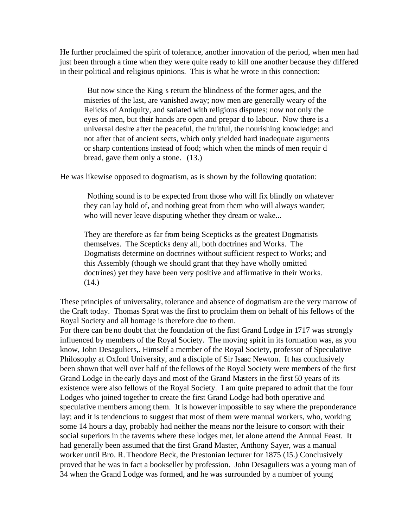He further proclaimed the spirit of tolerance, another innovation of the period, when men had just been through a time when they were quite ready to kill one another because they differed in their political and religious opinions. This is what he wrote in this connection:

 But now since the King s return the blindness of the former ages, and the miseries of the last, are vanished away; now men are generally weary of the Relicks of Antiquity, and satiated with religious disputes; now not only the eyes of men, but their hands are open and prepar d to labour. Now there is a universal desire after the peaceful, the fruitful, the nourishing knowledge: and not after that of ancient sects, which only yielded hard inadequate arguments or sharp contentions instead of food; which when the minds of men requir d bread, gave them only a stone. (13.)

He was likewise opposed to dogmatism, as is shown by the following quotation:

 Nothing sound is to be expected from those who will fix blindly on whatever they can lay hold of, and nothing great from them who will always wander; who will never leave disputing whether they dream or wake...

They are therefore as far from being Scepticks as the greatest Dogmatists themselves. The Scepticks deny all, both doctrines and Works. The Dogmatists determine on doctrines without sufficient respect to Works; and this Assembly (though we should grant that they have wholly omitted doctrines) yet they have been very positive and affirmative in their Works. (14.)

These principles of universality, tolerance and absence of dogmatism are the very marrow of the Craft today. Thomas Sprat was the first to proclaim them on behalf of his fellows of the Royal Society and all homage is therefore due to them.

For there can be no doubt that the foundation of the first Grand Lodge in 1717 was strongly influenced by members of the Royal Society. The moving spirit in its formation was, as you know, John Desaguliers,. Himself a member of the Royal Society, professor of Speculative Philosophy at Oxford University, and a disciple of Sir Isaac Newton. It has conclusively been shown that well over half of the fellows of the Royal Society were members of the first Grand Lodge in the early days and most of the Grand Masters in the first 50 years of its existence were also fellows of the Royal Society. I am quite prepared to admit that the four Lodges who joined together to create the first Grand Lodge had both operative and speculative members among them. It is however impossible to say where the preponderance lay; and it is tendencious to suggest that most of them were manual workers, who, working some 14 hours a day, probably had neither the means nor the leisure to consort with their social superiors in the taverns where these lodges met, let alone attend the Annual Feast. It had generally been assumed that the first Grand Master, Anthony Sayer, was a manual worker until Bro. R. Theodore Beck, the Prestonian lecturer for 1875 (15.) Conclusively proved that he was in fact a bookseller by profession. John Desaguliers was a young man of 34 when the Grand Lodge was formed, and he was surrounded by a number of young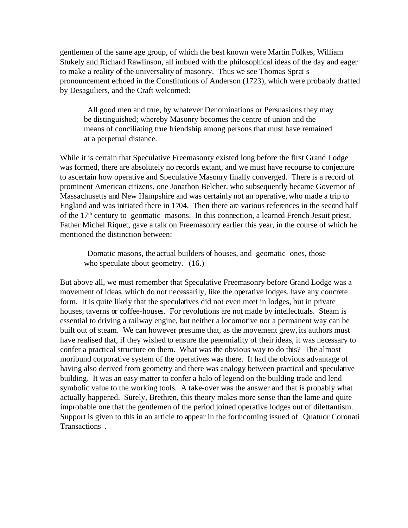gentlemen of the same age group, of which the best known were Martin Folkes, William Stukely and Richard Rawlinson, all imbued with the philosophical ideas of the day and eager to make a reality of the universality of masonry. Thus we see Thomas Sprat s pronouncement echoed in the Constitutions of Anderson (1723), which were probably drafted by Desaguliers, and the Craft welcomed:

 All good men and true, by whatever Denominations or Persuasions they may be distinguished; whereby Masonry becomes the centre of union and the means of conciliating true friendship among persons that must have remained at a perpetual distance.

While it is certain that Speculative Freemasonry existed long before the first Grand Lodge was formed, there are absolutely no records extant, and we must have recourse to conjecture to ascertain how operative and Speculative Masonry finally converged. There is a record of prominent American citizens, one Jonathon Belcher, who subsequently became Governor of Massachusetts and New Hampshire and was certainly not an operative, who made a trip to England and was initiated there in 1704. Then there are various references in the second half of the  $17<sup>th</sup>$  century to geomatic masons. In this connection, a learned French Jesuit priest, Father Michel Riquet, gave a talk on Freemasonry earlier this year, in the course of which he mentioned the distinction between:

 Domatic masons, the actual builders of houses, and geomatic ones, those who speculate about geometry.  $(16.)$ 

But above all, we must remember that Speculative Freemasonry before Grand Lodge was a movement of ideas, which do not necessarily, like the operative lodges, have any concrete form. It is quite likely that the speculatives did not even meet in lodges, but in private houses, taverns or coffee-houses. For revolutions are not made by intellectuals. Steam is essential to driving a railway engine, but neither a locomotive nor a permanent way can be built out of steam. We can however presume that, as the movement grew, its authors must have realised that, if they wished to ensure the perenniality of their ideas, it was necessary to confer a practical structure on them. What was the obvious way to do this? The almost moribund corporative system of the operatives was there. It had the obvious advantage of having also derived from geometry and there was analogy between practical and speculative building. It was an easy matter to confer a halo of legend on the building trade and lend symbolic value to the working tools. A take-over was the answer and that is probably what actually happened. Surely, Brethren, this theory makes more sense than the lame and quite improbable one that the gentlemen of the period joined operative lodges out of dilettantism. Support is given to this in an article to appear in the forthcoming issued of Quatuor Coronati Transactions .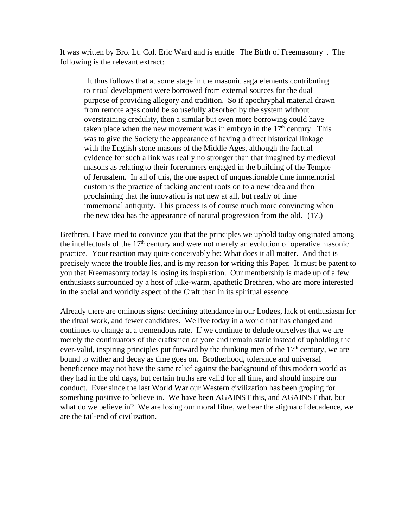It was written by Bro. Lt. Col. Eric Ward and is entitle The Birth of Freemasonry . The following is the relevant extract:

 It thus follows that at some stage in the masonic saga elements contributing to ritual development were borrowed from external sources for the dual purpose of providing allegory and tradition. So if apochryphal material drawn from remote ages could be so usefully absorbed by the system without overstraining credulity, then a similar but even more borrowing could have taken place when the new movement was in embryo in the  $17<sup>th</sup>$  century. This was to give the Society the appearance of having a direct historical linkage with the English stone masons of the Middle Ages, although the factual evidence for such a link was really no stronger than that imagined by medieval masons as relating to their forerunners engaged in the building of the Temple of Jerusalem. In all of this, the one aspect of unquestionable time immemorial custom is the practice of tacking ancient roots on to a new idea and then proclaiming that the innovation is not new at all, but really of time immemorial antiquity. This process is of course much more convincing when the new idea has the appearance of natural progression from the old. (17.)

Brethren, I have tried to convince you that the principles we uphold today originated among the intellectuals of the  $17<sup>th</sup>$  century and were not merely an evolution of operative masonic practice. Your reaction may quite conceivably be: What does it all matter. And that is precisely where the trouble lies, and is my reason for writing this Paper. It must be patent to you that Freemasonry today is losing its inspiration. Our membership is made up of a few enthusiasts surrounded by a host of luke-warm, apathetic Brethren, who are more interested in the social and worldly aspect of the Craft than in its spiritual essence.

Already there are ominous signs: declining attendance in our Lodges, lack of enthusiasm for the ritual work, and fewer candidates. We live today in a world that has changed and continues to change at a tremendous rate. If we continue to delude ourselves that we are merely the continuators of the craftsmen of yore and remain static instead of upholding the ever-valid, inspiring principles put forward by the thinking men of the  $17<sup>th</sup>$  century, we are bound to wither and decay as time goes on. Brotherhood, tolerance and universal beneficence may not have the same relief against the background of this modern world as they had in the old days, but certain truths are valid for all time, and should inspire our conduct. Ever since the last World War our Western civilization has been groping for something positive to believe in. We have been AGAINST this, and AGAINST that, but what do we believe in? We are losing our moral fibre, we bear the stigma of decadence, we are the tail-end of civilization.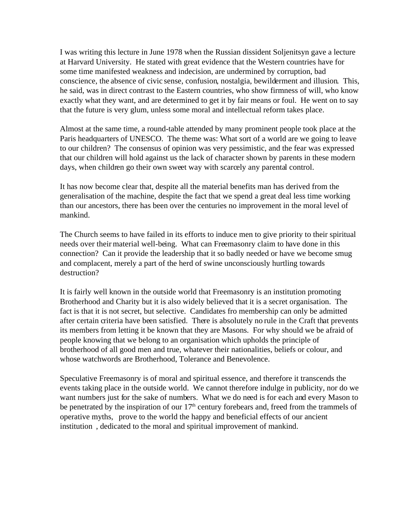I was writing this lecture in June 1978 when the Russian dissident Soljenitsyn gave a lecture at Harvard University. He stated with great evidence that the Western countries have for some time manifested weakness and indecision, are undermined by corruption, bad conscience, the absence of civic sense, confusion, nostalgia, bewilderment and illusion. This, he said, was in direct contrast to the Eastern countries, who show firmness of will, who know exactly what they want, and are determined to get it by fair means or foul. He went on to say that the future is very glum, unless some moral and intellectual reform takes place.

Almost at the same time, a round-table attended by many prominent people took place at the Paris headquarters of UNESCO. The theme was: What sort of a world are we going to leave to our children? The consensus of opinion was very pessimistic, and the fear was expressed that our children will hold against us the lack of character shown by parents in these modern days, when children go their own sweet way with scarcely any parental control.

It has now become clear that, despite all the material benefits man has derived from the generalisation of the machine, despite the fact that we spend a great deal less time working than our ancestors, there has been over the centuries no improvement in the moral level of mankind.

The Church seems to have failed in its efforts to induce men to give priority to their spiritual needs over their material well-being. What can Freemasonry claim to have done in this connection? Can it provide the leadership that it so badly needed or have we become smug and complacent, merely a part of the herd of swine unconsciously hurtling towards destruction?

It is fairly well known in the outside world that Freemasonry is an institution promoting Brotherhood and Charity but it is also widely believed that it is a secret organisation. The fact is that it is not secret, but selective. Candidates fro membership can only be admitted after certain criteria have been satisfied. There is absolutely no rule in the Craft that prevents its members from letting it be known that they are Masons. For why should we be afraid of people knowing that we belong to an organisation which upholds the principle of brotherhood of all good men and true, whatever their nationalities, beliefs or colour, and whose watchwords are Brotherhood, Tolerance and Benevolence.

Speculative Freemasonry is of moral and spiritual essence, and therefore it transcends the events taking place in the outside world. We cannot therefore indulge in publicity, nor do we want numbers just for the sake of numbers. What we do need is for each and every Mason to be penetrated by the inspiration of our  $17<sup>th</sup>$  century forebears and, freed from the trammels of operative myths, prove to the world the happy and beneficial effects of our ancient institution , dedicated to the moral and spiritual improvement of mankind.